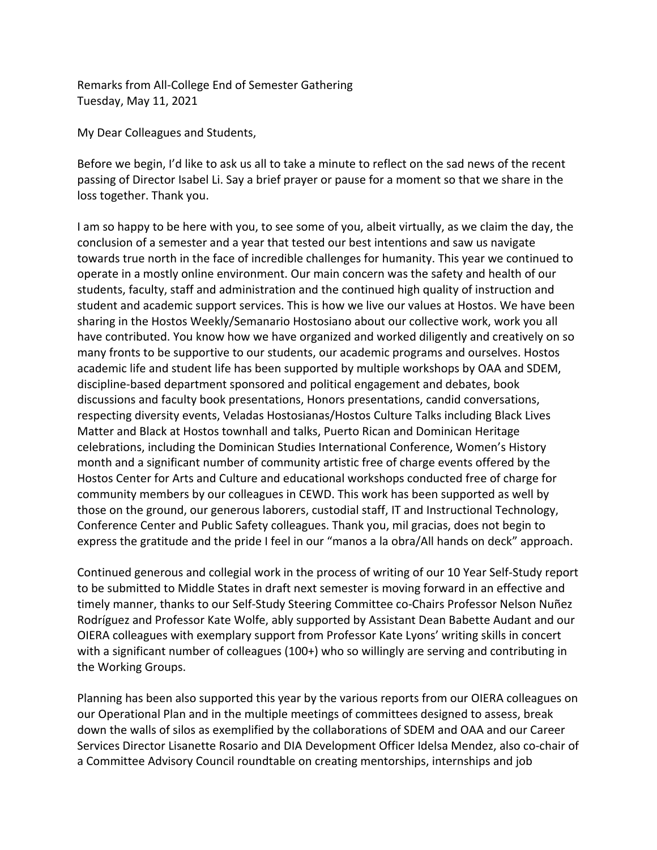Remarks from All‐College End of Semester Gathering Tuesday, May 11, 2021

My Dear Colleagues and Students,

 Before we begin, I'd like to ask us all to take a minute to reflect on the sad news of the recent passing of Director Isabel Li. Say a brief prayer or pause for a moment so that we share in the loss together. Thank you.

 I am so happy to be here with you, to see some of you, albeit virtually, as we claim the day, the conclusion of a semester and a year that tested our best intentions and saw us navigate towards true north in the face of incredible challenges for humanity. This year we continued to operate in a mostly online environment. Our main concern was the safety and health of our students, faculty, staff and administration and the continued high quality of instruction and student and academic support services. This is how we live our values at Hostos. We have been sharing in the Hostos Weekly/Semanario Hostosiano about our collective work, work you all have contributed. You know how we have organized and worked diligently and creatively on so many fronts to be supportive to our students, our academic programs and ourselves. Hostos academic life and student life has been supported by multiple workshops by OAA and SDEM, discipline‐based department sponsored and political engagement and debates, book discussions and faculty book presentations, Honors presentations, candid conversations, respecting diversity events, Veladas Hostosianas/Hostos Culture Talks including Black Lives Matter and Black at Hostos townhall and talks, Puerto Rican and Dominican Heritage celebrations, including the Dominican Studies International Conference, Women's History month and a significant number of community artistic free of charge events offered by the Hostos Center for Arts and Culture and educational workshops conducted free of charge for community members by our colleagues in CEWD. This work has been supported as well by those on the ground, our generous laborers, custodial staff, IT and Instructional Technology, Conference Center and Public Safety colleagues. Thank you, mil gracias, does not begin to express the gratitude and the pride I feel in our "manos a la obra/All hands on deck" approach.

 Continued generous and collegial work in the process of writing of our 10 Year Self‐Study report to be submitted to Middle States in draft next semester is moving forward in an effective and timely manner, thanks to our Self‐Study Steering Committee co‐Chairs Professor Nelson Nuñez Rodríguez and Professor Kate Wolfe, ably supported by Assistant Dean Babette Audant and our OIERA colleagues with exemplary support from Professor Kate Lyons' writing skills in concert with a significant number of colleagues (100+) who so willingly are serving and contributing in the Working Groups.

 Planning has been also supported this year by the various reports from our OIERA colleagues on our Operational Plan and in the multiple meetings of committees designed to assess, break down the walls of silos as exemplified by the collaborations of SDEM and OAA and our Career Services Director Lisanette Rosario and DIA Development Officer Idelsa Mendez, also co‐chair of a Committee Advisory Council roundtable on creating mentorships, internships and job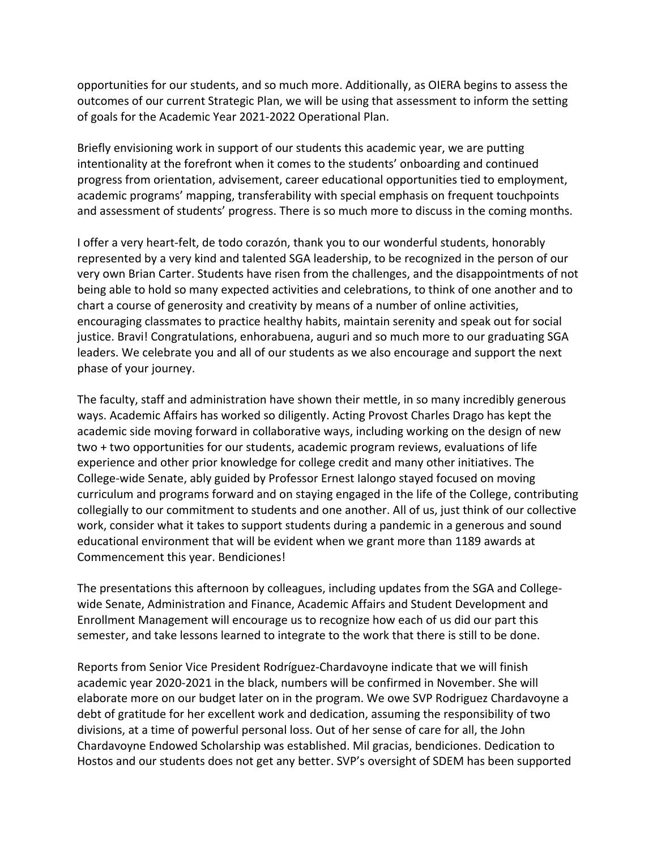opportunities for our students, and so much more. Additionally, as OIERA begins to assess the outcomes of our current Strategic Plan, we will be using that assessment to inform the setting of goals for the Academic Year 2021‐2022 Operational Plan.

 Briefly envisioning work in support of our students this academic year, we are putting intentionality at the forefront when it comes to the students' onboarding and continued progress from orientation, advisement, career educational opportunities tied to employment, academic programs' mapping, transferability with special emphasis on frequent touchpoints and assessment of students' progress. There is so much more to discuss in the coming months.

 I offer a very heart‐felt, de todo corazón, thank you to our wonderful students, honorably represented by a very kind and talented SGA leadership, to be recognized in the person of our very own Brian Carter. Students have risen from the challenges, and the disappointments of not being able to hold so many expected activities and celebrations, to think of one another and to chart a course of generosity and creativity by means of a number of online activities, encouraging classmates to practice healthy habits, maintain serenity and speak out for social justice. Bravi! Congratulations, enhorabuena, auguri and so much more to our graduating SGA leaders. We celebrate you and all of our students as we also encourage and support the next phase of your journey.

 The faculty, staff and administration have shown their mettle, in so many incredibly generous ways. Academic Affairs has worked so diligently. Acting Provost Charles Drago has kept the academic side moving forward in collaborative ways, including working on the design of new two + two opportunities for our students, academic program reviews, evaluations of life experience and other prior knowledge for college credit and many other initiatives. The College‐wide Senate, ably guided by Professor Ernest Ialongo stayed focused on moving curriculum and programs forward and on staying engaged in the life of the College, contributing collegially to our commitment to students and one another. All of us, just think of our collective work, consider what it takes to support students during a pandemic in a generous and sound educational environment that will be evident when we grant more than 1189 awards at Commencement this year. Bendiciones!

 The presentations this afternoon by colleagues, including updates from the SGA and College‐ wide Senate, Administration and Finance, Academic Affairs and Student Development and Enrollment Management will encourage us to recognize how each of us did our part this semester, and take lessons learned to integrate to the work that there is still to be done.

 Reports from Senior Vice President Rodríguez‐Chardavoyne indicate that we will finish academic year 2020‐2021 in the black, numbers will be confirmed in November. She will elaborate more on our budget later on in the program. We owe SVP Rodriguez Chardavoyne a debt of gratitude for her excellent work and dedication, assuming the responsibility of two divisions, at a time of powerful personal loss. Out of her sense of care for all, the John Chardavoyne Endowed Scholarship was established. Mil gracias, bendiciones. Dedication to Hostos and our students does not get any better. SVP's oversight of SDEM has been supported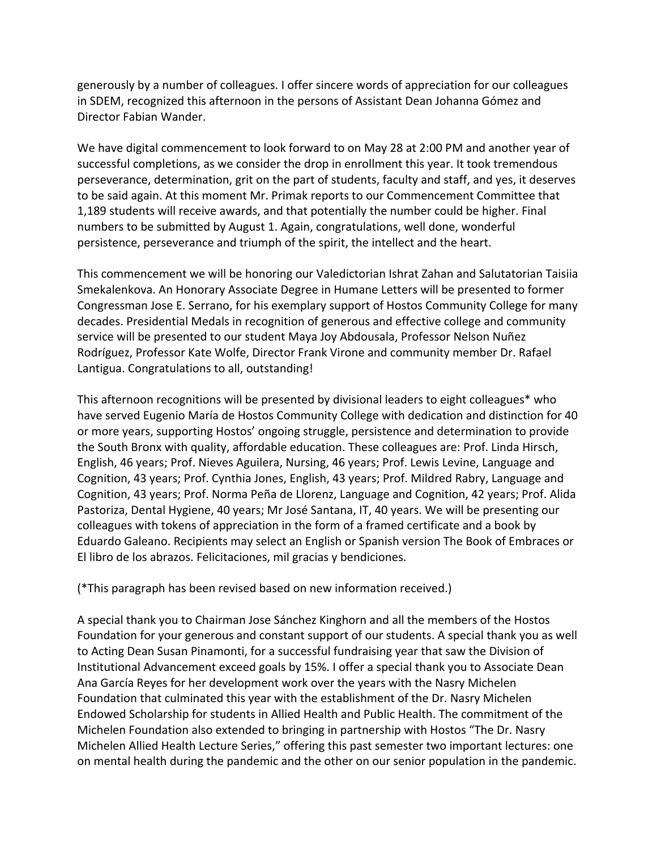generously by a number of colleagues. I offer sincere words of appreciation for our colleagues in SDEM, recognized this afternoon in the persons of Assistant Dean Johanna Gómez and Director Fabian Wander.

 We have digital commencement to look forward to on May 28 at 2:00 PM and another year of successful completions, as we consider the drop in enrollment this year. It took tremendous perseverance, determination, grit on the part of students, faculty and staff, and yes, it deserves to be said again. At this moment Mr. Primak reports to our Commencement Committee that 1,189 students will receive awards, and that potentially the number could be higher. Final numbers to be submitted by August 1. Again, congratulations, well done, wonderful persistence, perseverance and triumph of the spirit, the intellect and the heart.

 This commencement we will be honoring our Valedictorian Ishrat Zahan and Salutatorian Taisiia Smekalenkova. An Honorary Associate Degree in Humane Letters will be presented to former Congressman Jose E. Serrano, for his exemplary support of Hostos Community College for many decades. Presidential Medals in recognition of generous and effective college and community service will be presented to our student Maya Joy Abdousala, Professor Nelson Nuñez Rodríguez, Professor Kate Wolfe, Director Frank Virone and community member Dr. Rafael Lantigua. Congratulations to all, outstanding!

 This afternoon recognitions will be presented by divisional leaders to eight colleagues\* who have served Eugenio María de Hostos Community College with dedication and distinction for 40 or more years, supporting Hostos' ongoing struggle, persistence and determination to provide the South Bronx with quality, affordable education. These colleagues are: Prof. Linda Hirsch, English, 46 years; Prof. Nieves Aguilera, Nursing, 46 years; Prof. Lewis Levine, Language and Cognition, 43 years; Prof. Cynthia Jones, English, 43 years; Prof. Mildred Rabry, Language and Cognition, 43 years; Prof. Norma Peña de Llorenz, Language and Cognition, 42 years; Prof. Alida Pastoriza, Dental Hygiene, 40 years; Mr José Santana, IT, 40 years. We will be presenting our colleagues with tokens of appreciation in the form of a framed certificate and a book by Eduardo Galeano. Recipients may select an English or Spanish version The Book of Embraces or El libro de los abrazos. Felicitaciones, mil gracias y bendiciones.

(\*This paragraph has been revised based on new information received.)

 A special thank you to Chairman Jose Sánchez Kinghorn and all the members of the Hostos Foundation for your generous and constant support of our students. A special thank you as well to Acting Dean Susan Pinamonti, for a successful fundraising year that saw the Division of Institutional Advancement exceed goals by 15%. I offer a special thank you to Associate Dean Ana García Reyes for her development work over the years with the Nasry Michelen Foundation that culminated this year with the establishment of the Dr. Nasry Michelen Endowed Scholarship for students in Allied Health and Public Health. The commitment of the Michelen Foundation also extended to bringing in partnership with Hostos "The Dr. Nasry on mental health during the pandemic and the other on our senior population in the pandemic.Michelen Allied Health Lecture Series," offering this past semester two important lectures: one